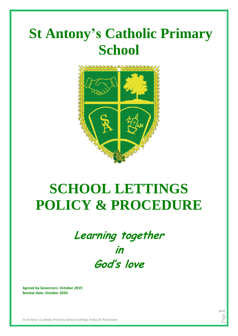# **St Antony's Catholic Primary School**



# **SCHOOL LETTINGS POLICY & PROCEDURE**

# **Learning together in God's love**

Page  $\overline{\phantom{0}}$ 

**Agreed by Governors: October 2019 Review date: October 2020**

**St Antony's Catholic Primary School Lettings Policy & Procedure**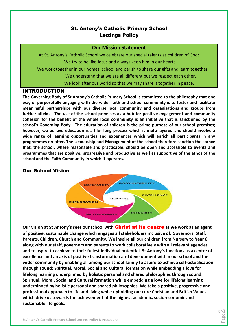# St. Antony's Catholic Primary School Lettings Policy

#### **Our Mission Statement**

At St. Antony's Catholic School we celebrate our special talents as children of God: We try to be like Jesus and always keep him in our hearts.

We work together in our homes, school and parish to share our gifts and learn together. We understand that we are all different but we respect each other.

We look after our world so that we may share it together in peace.

#### INTRODUCTION

**The Governing Body of St Antony's Catholic Primary School is committed to the philosophy that one way of purposefully engaging with the wider faith and school community is to foster and facilitate meaningful partnerships with our diverse local community and organisations and groups from further afield. The use of the school premises as a hub for positive engagement and community cohesion for the benefit of the whole local community is an initiative that is sanctioned by the school's Governing Body. The education of children is the prime purpose of our school premises; however, we believe education is a life- long process which is multi-layered and should involve a wide range of learning opportunities and experiences which will enrich all participants in any programmes on offer. The Leadership and Management of the school therefore sanction the stance that, the school, where reasonable and practicable, should be open and accessible to events and programmes that are positive, progressive and productive as well as supportive of the ethos of the school and the Faith Community in which it operates.**

#### Our School Vision



**Our vision at St Antony's sees our school with** Christ at its centre **as we work as an agent of positive, sustainable change which engages all stakeholders inclusive of: Governors, Staff, Parents, Children, Church and Community. We inspire all our children from Nursery to Year 6 along with our staff, governors and parents to work collaboratively with all relevant agencies and to aspire to achieve to their fullest individual potential. St Antony's functions as a centre of excellence and an axis of positive transformation and development within our school and the wider community by enabling all among our school family to aspire to achieve self-actualisation through sound: Spiritual, Moral, Social and Cultural formation while embedding a love for lifelong learning underpinned by holistic personal and shared philosophies through sound: Spiritual, Moral, Social and Cultural formation while embedding a love for lifelong learning underpinned by holistic personal and shared philosophies. We take a positive, progressive and professional approach to life and living while upholding our core Christian and British Values which drive us towards the achievement of the highest academic, socio-economic and sustainable life goals.**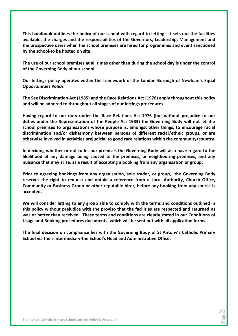**This handbook outlines the policy of our school with regard to letting. It sets out the facilities available, the charges and the responsibilities of the Governors, Leadership, Management and the prospective users when the school premises are hired for programmes and event sanctioned by the school-to be hosted on site.**

**The use of our school premises at all times other than during the school day is under the control of the Governing Body of our school.** 

**Our lettings policy operates within the framework of the London Borough of Newham's Equal Opportunities Policy.**

**The Sex Discrimination Act (1985) and the Race Relations Act (1976) apply throughout this policy and will be adhered to throughout all stages of our lettings procedures.**

**Having regard to our duty under the Race Relations Act 1976 (but without prejudice to our duties under the Representation of the People Act 1983) the Governing Body will not let the school premises to organisations whose purpose is, amongst other things, to encourage racial discrimination and/or disharmony between persons of different racial/ethnic groups, or are otherwise involved in activities prejudicial to good race relations within the community/country.**

**In deciding whether or not to let our premises the Governing Body will also have regard to the likelihood of any damage being caused to the premises, or neighbouring premises, and any nuisance that may arise, as a result of accepting a booking from any organisation or group.**

**Prior to agreeing bookings from any organisation, sole trader, or group, the Governing Body reserves the right to request and obtain a reference from a Local Authority, Church Office, Community or Business Group or other reputable hirer, before any booking from any source is accepted.**

**We will consider letting to any group able to comply with the terms and conditions outlined in this policy without prejudice with the proviso that the facilities are respected and returned as was or better than received. These terms and conditions are clearly stated in our Conditions of Usage and Booking procedures documents, which will be sent out with all application forms.**

**The final decision on compliance lies with the Governing Body of St Antony's Catholic Primary School via their intermediary-the School's Head and Administrative Office.**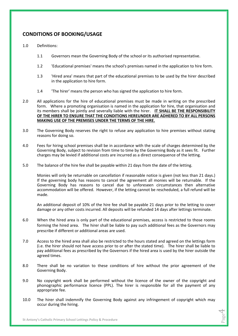# **CONDITIONS OF BOOKING/USAGE**

- 1.0 Definitions:
	- 1.1 Governors mean the Governing Body of the school or its authorised representative.
	- 1.2 'Educational premises' means the school's premises named in the application to hire form.
	- 1.3 'Hired area' means that part of the educational premises to be used by the hirer described in the application to hire form.
	- 1.4 'The hirer' means the person who has signed the application to hire form.
- 2.0 All applications for the hire of educational premises must be made in writing on the prescribed form. Where a promoting organisation is named in the application for hire, that organisation and its members shall be jointly and severally liable with the hirer. **IT SHALL BE THE RESPONSIBILITY OF THE HIRER TO ENSURE THAT THE CONDITIONS HEREUNDER ARE ADHERED TO BY ALL PERSONS MAKING USE OF THE PREMISES UNDER THE TERMS OF THE HIRE.**
- 3.0 The Governing Body reserves the right to refuse any application to hire premises without stating reasons for doing so.
- 4.0 Fees for hiring school premises shall be in accordance with the scale of charges determined by the Governing Body, subject to revision from time to time by the Governing Body as it sees fit. Further charges may be levied if additional costs are incurred as a direct consequence of the letting.
- 5.0 The balance of the hire fee shall be payable within 21 days from the date of the letting.

Monies will only be returnable on cancellation if reasonable notice is given (not less than 21 days.) If the governing body has reasons to cancel the agreement all monies will be returnable. If the Governing Body has reasons to cancel due to unforeseen circumstances then alternative accommodation will be offered. However, if the letting cannot be rescheduled, a full refund will be made.

An additional deposit of 10% of the hire fee shall be payable 21 days prior to the letting to cover damage or any other costs incurred. All deposits will be refunded 14 days after lettings terminate.

- 6.0 When the hired area is only part of the educational premises, access is restricted to those rooms forming the hired area. The hirer shall be liable to pay such additional fees as the Governors may prescribe if different or additional areas are used.
- 7.0 Access to the hired area shall also be restricted to the hours stated and agreed on the lettings form (i.e. the hirer should not have access prior to or after the stated time). The hirer shall be liable to pay additional fees as prescribed by the Governors if the hired area is used by the hirer outside the agreed times.
- 8.0 There shall be no variation to these conditions of hire without the prior agreement of the Governing Body.
- 9.0 No copyright work shall be performed without the licence of the owner of the copyright and phonographic performance licence (PPL). The hirer is responsible for all the payment of any appropriate fee.
- 10.0 The hirer shall indemnify the Governing Body against any infringement of copyright which may occur during the hiring.

Page 4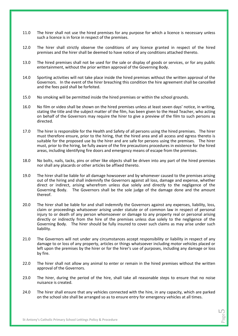- 11.0 The hirer shall not use the hired premises for any purpose for which a licence is necessary unless such a licence is in force in respect of the premises.
- 12.0 The hirer shall strictly observe the conditions of any licence granted in respect of the hired premises and the hirer shall be deemed to have notice of any conditions attached thereto.
- 13.0 The hired premises shall not be used for the sale or display of goods or services, or for any public entertainment, without the prior written approval of the Governing Body.
- 14.0 Sporting activities will not take place inside the hired premises without the written approval of the Governors. In the event of the hirer breaching this condition the hire agreement shall be cancelled and the fees paid shall be forfeited.
- 15.0 No smoking will be permitted inside the hired premises or within the school grounds.
- 16.0 No film or video shall be shown on the hired premises unless at least seven days' notice, in writing, stating the title and the subject matter of the film, has been given to the Head Teacher, who acting on behalf of the Governors may require the hirer to give a preview of the film to such persons as directed.
- 17.0 The hirer is responsible for the Health and Safety of all persons using the hired premises. The hirer must therefore ensure, prior to the hiring, that the hired area and all access and egress thereto is suitable for the proposed use by the hirer and are safe for persons using the premises. The hirer must, prior to the hiring, be fully aware of the fire precautions procedures in existence for the hired areas, including identifying fire doors and emergency means of escape from the premises.
- 18.0 No bolts, nails, tacks, pins or other like objects shall be driven into any part of the hired premises nor shall any placards or other articles be affixed thereto.
- 19.0 The hirer shall be liable for all damage howsoever and by whomever caused to the premises arising out of the hiring and shall indemnify the Governors against all loss, damage and expense, whether direct or indirect, arising wherefrom unless due solely and directly to the negligence of the Governing Body. The Governors shall be the sole judge of the damage done and the amount thereof.
- 20.0 The hirer shall be liable for and shall indemnify the Governors against any expenses, liability, loss, claim or proceedings whatsoever arising under statute or of common law in respect of personal injury to or death of any person whomsoever or damage to any property real or personal arising directly or indirectly from the hire of the premises unless due solely to the negligence of the Governing Body. The hirer should be fully insured to cover such claims as may arise under such liability.
- 21.0 The Governors will not under any circumstances accept responsibility or liability in respect of any damage to or loss of any property, articles or things whatsoever including motor vehicles placed or left upon the premises by the hirer or for the hirer's use of purposes, including any damage or loss by fire.
- 22.0 The hirer shall not allow any animal to enter or remain in the hired premises without the written approval of the Governors.
- 23.0 The hirer, during the period of the hire, shall take all reasonable steps to ensure that no noise nuisance is created.
- 24.0 The hirer shall ensure that any vehicles connected with the hire, in any capacity, which are parked on the school site shall be arranged so as to ensure entry for emergency vehicles at all times.

Page LO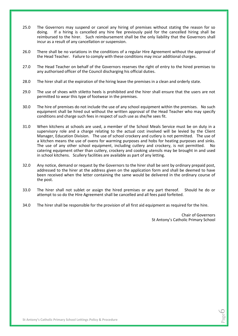- 25.0 The Governors may suspend or cancel any hiring of premises without stating the reason for so doing. If a hiring is cancelled any hire fee previously paid for the cancelled hiring shall be reimbursed to the hirer. Such reimbursement shall be the only liability that the Governors shall incur as a result of any cancellation or suspension.
- 26.0 There shall be no variations in the conditions of a regular Hire Agreement without the approval of the Head Teacher. Failure to comply with these conditions may incur additional charges.
- 27.0 The Head Teacher on behalf of the Governors reserves the right of entry to the hired premises to any authorised officer of the Council discharging his official duties.
- 28.0 The hirer shall at the expiration of the hiring leave the premises in a clean and orderly state.
- 29.0 The use of shoes with stiletto heels is prohibited and the hirer shall ensure that the users are not permitted to wear this type of footwear in the premises.
- 30.0 The hire of premises do not include the use of any school equipment within the premises. No such equipment shall be hired out without the written approval of the Head Teacher who may specify conditions and charge such fees in respect of such use as she/he sees fit.
- 31.0 When kitchens at schools are used, a member of the School Meals Service must be on duty in a supervisory role and a charge relating to the actual cost involved will be levied by the Client Manager, Education Division. The use of school crockery and cutlery is not permitted. The use of a kitchen means the use of ovens for warming purposes and hobs for heating purposes and sinks. The use of any other school equipment, including cutlery and crockery, is not permitted. No catering equipment other than cutlery, crockery and cooking utensils may be brought in and used in school kitchens. Scullery facilities are available as part of any letting.
- 32.0 Any notice, demand or request by the Governors to the hirer shall be sent by ordinary prepaid post, addressed to the hirer at the address given on the application form and shall be deemed to have been received when the letter containing the same would be delivered in the ordinary course of the post.
- 33.0 The hirer shall not sublet or assign the hired premises or any part thereof. Should he do or attempt to so do the Hire Agreement shall be cancelled and all fees paid forfeited.
- 34.0 The hirer shall be responsible for the provision of all first aid equipment as required for the hire.

Chair of Governors St Antony's Catholic Primary School

> Page  $\circ$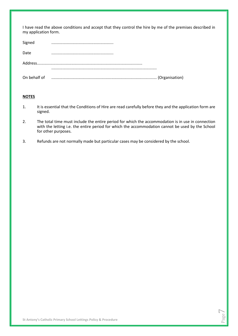I have read the above conditions and accept that they control the hire by me of the premises described in my application form.

| Signed       |  |
|--------------|--|
| Date         |  |
|              |  |
|              |  |
| On behalf of |  |

#### **NOTES**

- 1. It is essential that the Conditions of Hire are read carefully before they and the application form are signed.
- 2. The total time must include the entire period for which the accommodation is in use in connection with the letting i.e. the entire period for which the accommodation cannot be used by the School for other purposes.
- 3. Refunds are not normally made but particular cases may be considered by the school.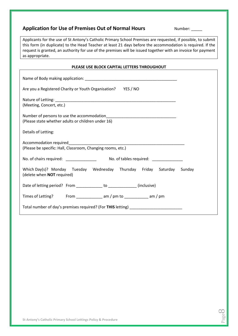# **Application for Use of Premises Out of Normal Hours Number:** \_\_\_\_\_

Page  $\infty$ 

Applicants for the use of St Antony's Catholic Primary School Premises are requested, if possible, to submit this form (in duplicate) to the Head Teacher at least 21 days before the accommodation is required. If the request is granted, an authority for use of the premises will be issued together with an invoice for payment as appropriate.

#### **PLEASE USE BLOCK CAPITAL LETTERS THROUGHOUT**

| Are you a Registered Charity or Youth Organisation? YES / NO                                                |  |  |  |
|-------------------------------------------------------------------------------------------------------------|--|--|--|
| (Meeting, Concert, etc.)                                                                                    |  |  |  |
| (Please state whether adults or children under 16)                                                          |  |  |  |
| Details of Letting:                                                                                         |  |  |  |
| (Please be specific: Hall, Classroom, Changing rooms, etc.)                                                 |  |  |  |
|                                                                                                             |  |  |  |
| Which Day(s)? Monday Tuesday Wednesday Thursday Friday Saturday Sunday<br>(delete when <b>NOT</b> required) |  |  |  |
| Date of letting period? From ____________ to _____________ (inclusive)                                      |  |  |  |
|                                                                                                             |  |  |  |
| Total number of day's premises required? (For THIS letting) _____________________                           |  |  |  |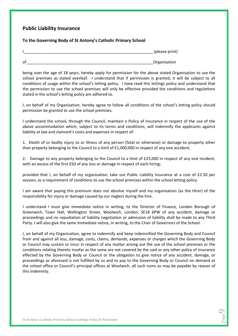#### **Public Liability Insurance**

#### **To the Governing Body of St Antony's Catholic Primary School**

|    | (please print) |
|----|----------------|
| оf | Organisation   |

being over the age of 18 years, hereby apply for permission for the above stated Organisation to use the school premises as stated overleaf. I understand that if permission is granted, it will be subject to all conditions of usage within the school's letting policy. I have read this lettings policy and understand that the permission to use the school premises will only be effective provided the conditions and regulations stated in the school's letting policy are adhered to.

I, on behalf of my Organisation, hereby agree to follow all conditions of the school's letting policy should permission be granted to use the school premises.

I understand the school, through the Council, maintain a Policy of Insurance in respect of the use of the above accommodation which, subject to its terms and conditions, will indemnify the applicants against liability at law and claimant's costs and expenses in respect of:

1. Death of or bodily injury to or illness of any person (fatal or otherwise) or damage to property other than property belonging to the Council to a limit of £1,000,000 in respect of any one accident;

2. Damage to any property belonging to the Council to a limit of £25,000 in respect of any one incident, with an excess of the first £50 of any loss or damage in respect of each hiring;

provided that I, on behalf of my organisation, take out Public Liability Insurance at a cost of £2.50 per session, as a requirement of conditions to use the school premises within the school letting policy.

I am aware that paying this premium does not absolve myself and my organisation (as the Hirer) of the responsibility for injury or damage caused by our neglect during the hire.

I understand I must give immediate notice in writing, to the Director of Finance, London Borough of Greenwich, Town Hall, Wellington Street, Woolwich, London, SE18 6PW of any accident, damage or proceedings and no repudiation of liability negotiation or admission of liability shall be made to any Third Party. I will also give the same immediate notice, in writing, to the Chair of Governors of the School.

I, on behalf of my Organisation, agree to indemnify and keep indemnified the Governing Body and Council from and against all loss, damage, costs, claims, demands, expenses or charges which the Governing Body or Council may sustain or incur in respect of any matter arising out the use of the school premises or the conditions relating thereto insofar as the same are not covered by the said or any other policy of insurance effected by the Governing Body or Council or the obligation to give notice of any accident, damage, or proceedings as aforesaid is not fulfilled by us and to pay to the Governing Body or Council on demand at the school office or Council's principal offices at Woolwich, all such sums as may be payable by reason of this indemnity.

> Page  $\bigcirc$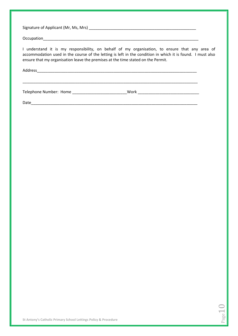| I understand it is my responsibility, on behalf of my organisation, to ensure that any area of<br>accommodation used in the course of the letting is left in the condition in which it is found. I must also<br>ensure that my organisation leave the premises at the time stated on the Permit. |      |
|--------------------------------------------------------------------------------------------------------------------------------------------------------------------------------------------------------------------------------------------------------------------------------------------------|------|
| Address                                                                                                                                                                                                                                                                                          |      |
|                                                                                                                                                                                                                                                                                                  | Work |

Date\_\_\_\_\_\_\_\_\_\_\_\_\_\_\_\_\_\_\_\_\_\_\_\_\_\_\_\_\_\_\_\_\_\_\_\_\_\_\_\_\_\_\_\_\_\_\_\_\_\_\_\_\_\_\_\_\_\_\_\_\_\_\_\_\_\_\_\_\_\_\_\_\_\_\_\_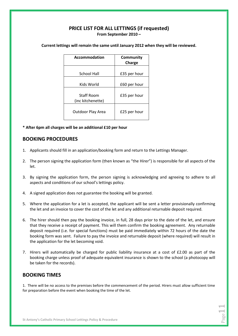# **PRICE LIST FOR ALL LETTINGS (if requested) From September 2010 –**

| Accommodation                          | Community<br>Charge |
|----------------------------------------|---------------------|
| School Hall                            | £35 per hour        |
| Kids World                             | £60 per hour        |
| <b>Staff Room</b><br>(inc kitchenette) | £35 per hour        |
| Outdoor Play Area                      | £25 per hour        |

**Current lettings will remain the same until January 2012 when they will be reviewed.**

**\* After 6pm all charges will be an additional £10 per hour**

#### **BOOKING PROCEDURES**

- 1. Applicants should fill in an application/booking form and return to the Lettings Manager.
- 2. The person signing the application form (then known as "the Hirer") is responsible for all aspects of the let.
- 3. By signing the application form, the person signing is acknowledging and agreeing to adhere to all aspects and conditions of our school's lettings policy.
- 4. A signed application does not guarantee the booking will be granted.
- 5. Where the application for a let is accepted, the applicant will be sent a letter provisionally confirming the let and an invoice to cover the cost of the let and any additional returnable deposit required.
- 6. The hirer should then pay the booking invoice, in full, 28 days prior to the date of the let, and ensure that they receive a receipt of payment. This will them confirm the booking agreement. Any returnable deposit required (i.e. for special functions) must be paid immediately within 72 hours of the date the booking form was sent. Failure to pay the invoice and returnable deposit (where required) will result in the application for the let becoming void.
- 7. Hirers will automatically be charged for public liability insurance at a cost of £2.00 as part of the booking charge unless proof of adequate equivalent insurance is shown to the school (a photocopy will be taken for the records).

#### **BOOKING TIMES**

1. There will be no access to the premises before the commencement of the period. Hirers must allow sufficient time for preparation before the event when booking the time of the let.

 $Page11$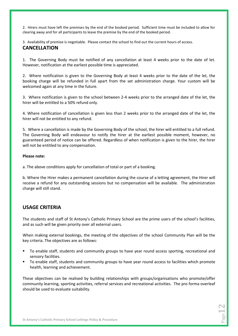2. Hirers must have left the premises by the end of the booked period. Sufficient time must be included to allow for clearing away and for all participants to leave the premise by the end of the booked period.

3. Availability of premise is negotiable. Please contact the school to find out the current hours of access.

#### **CANCELLATION**

1. The Governing Body must be notified of any cancellation at least 4 weeks prior to the date of let. However, notification at the earliest possible time is appreciated.

2. Where notification is given to the Governing Body at least 4 weeks prior to the date of the let, the booking charge will be refunded in full apart from the set administration charge. Your custom will be welcomed again at any time in the future.

3. Where notification is given to the school between 2-4 weeks prior to the arranged date of the let, the hirer will be entitled to a 50% refund only.

4. Where notification of cancellation is given less than 2 weeks prior to the arranged date of the let, the hirer will not be entitled to any refund.

5. Where a cancellation is made by the Governing Body of the school, the hirer will entitled to a full refund. The Governing Body will endeavour to notify the hirer at the earliest possible moment, however, no guaranteed period of notice can be offered. Regardless of when notification is given to the hirer, the hirer will not be entitled to any compensation.

#### **Please note:**

a. The above conditions apply for cancellation of total or part of a booking.

b. Where the Hirer makes a permanent cancellation during the course of a letting agreement, the Hirer will receive a refund for any outstanding sessions but no compensation will be available. The administration charge will still stand.

#### **USAGE CRITERIA**

The students and staff of St Antony's Catholic Primary School are the prime users of the school's facilities, and as such will be given priority over all external users.

When making external bookings, the meeting of the objectives of the school Community Plan will be the key criteria. The objectives are as follows:

- To enable staff, students and community groups to have year round access sporting, recreational and sensory facilities.
- To enable staff, students and community groups to have year round access to facilities which promote health, learning and achievement.

These objectives can be realised by building relationships with groups/organisations who promote/offer community learning, sporting activities, referral services and recreational activities. The pro forma overleaf should be used to evaluate suitability.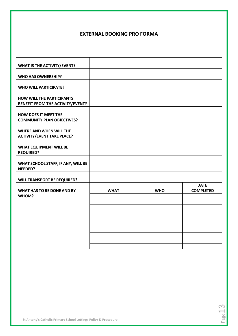# **EXTERNAL BOOKING PRO FORMA**

| <b>WHAT IS THE ACTIVITY/EVENT?</b>            |             |            |                  |
|-----------------------------------------------|-------------|------------|------------------|
|                                               |             |            |                  |
| <b>WHO HAS OWNERSHIP?</b>                     |             |            |                  |
| <b>WHO WILL PARTICIPATE?</b>                  |             |            |                  |
|                                               |             |            |                  |
| <b>HOW WILL THE PARTICIPANTS</b>              |             |            |                  |
| <b>BENEFIT FROM THE ACTIVITY/EVENT?</b>       |             |            |                  |
|                                               |             |            |                  |
| <b>HOW DOES IT MEET THE</b>                   |             |            |                  |
| <b>COMMUNITY PLAN OBJECTIVES?</b>             |             |            |                  |
| <b>WHERE AND WHEN WILL THE</b>                |             |            |                  |
| <b>ACTIVITY/EVENT TAKE PLACE?</b>             |             |            |                  |
|                                               |             |            |                  |
| <b>WHAT EQUIPMENT WILL BE</b>                 |             |            |                  |
| <b>REQUIRED?</b>                              |             |            |                  |
|                                               |             |            |                  |
| WHAT SCHOOL STAFF, IF ANY, WILL BE<br>NEEDED? |             |            |                  |
|                                               |             |            |                  |
| <b>WILL TRANSPORT BE REQUIRED?</b>            |             |            |                  |
|                                               |             |            | <b>DATE</b>      |
| <b>WHAT HAS TO BE DONE AND BY</b>             | <b>WHAT</b> | <b>WHO</b> | <b>COMPLETED</b> |
| WHOM?                                         |             |            |                  |
|                                               |             |            |                  |
|                                               |             |            |                  |
|                                               |             |            |                  |
|                                               |             |            |                  |
|                                               |             |            |                  |
|                                               |             |            |                  |
|                                               |             |            |                  |
|                                               |             |            |                  |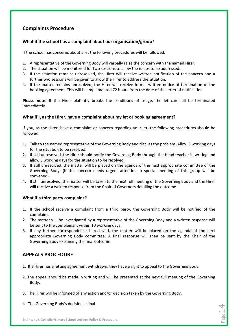# **Complaints Procedure**

#### **What if the school has a complaint about our organisation/group?**

If the school has concerns about a let the following procedures will be followed:

- 1. A representative of the Governing Body will verbally raise the concern with the named Hirer.
- 2. The situation will be monitored for two sessions to allow the issues to be addressed.
- 3. If the situation remains unresolved, the Hirer will receive written notification of the concern and a further two sessions will be given to allow the Hirer to address the situation.
- 4. If the matter remains unresolved, the Hirer will receive formal written notice of termination of the booking agreement. This will be implemented 72 hours from the date of the letter of notification.

**Please note:** If the Hirer blatantly breaks the conditions of usage, the let can still be terminated immediately.

#### **What if I, as the Hirer, have a complaint about my let or booking agreement?**

If you, as the Hirer, have a complaint or concern regarding your let, the following procedures should be followed:

- 1. Talk to the named representative of the Governing Body and discuss the problem. Allow 5 working days for the situation to be resolved.
- 2. If still unresolved, the Hirer should notify the Governing Body through the Head teacher in writing and allow 5 working days for the situation to be resolved.
- 3. If still unresolved, the matter will be placed on the agenda of the next appropriate committee of the Governing Body. (If the concern needs urgent attention, a special meeting of this group will be convened).
- 4. If still unresolved, the matter will be taken to the next full meeting of the Governing Body and the Hirer will receive a written response from the Chair of Governors detailing the outcome.

#### **What if a third party complains?**

- 1. If the school receive a complaint from a third party, the Governing Body will be notified of the complaint.
- 2. The matter will be investigated by a representative of the Governing Body and a written response will be sent to the complainant within 10 working days.
- 3. If any further correspondence is received, the matter will be placed on the agenda of the next appropriate Governing Body committee. A final response will then be sent by the Chair of the Governing Body explaining the final outcome.

# **APPEALS PROCEDURE**

- 1. If a Hirer has a letting agreement withdrawn, they have a right to appeal to the Governing Body.
- 2. The appeal should be made in writing and will be presented at the next full meeting of the Governing Body.

 $\frac{\text{Page 14}}{}$ 

- 3. The Hirer will be informed of any action and/or decision taken by the Governing Body.
- 4. The Governing Body's decision is final.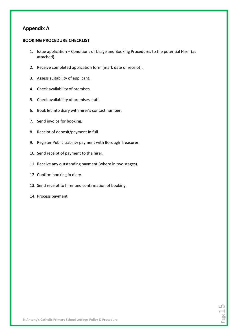# **Appendix A**

#### **BOOKING PROCEDURE CHECKLIST**

- 1. Issue application + Conditions of Usage and Booking Procedures to the potential Hirer (as attached).
- 2. Receive completed application form (mark date of receipt).
- 3. Assess suitability of applicant.
- 4. Check availability of premises.
- 5. Check availability of premises staff.
- 6. Book let into diary with hirer's contact number.
- 7. Send invoice for booking.
- 8. Receipt of deposit/payment in full.
- 9. Register Public Liability payment with Borough Treasurer.
- 10. Send receipt of payment to the hirer.
- 11. Receive any outstanding payment (where in two stages).
- 12. Confirm booking in diary.
- 13. Send receipt to hirer and confirmation of booking.
- 14. Process payment

Page 15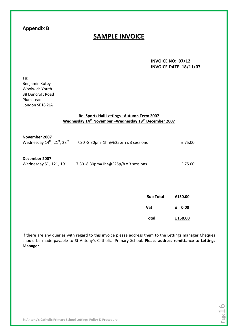# **Appendix B**

# **SAMPLE INVOICE**

**INVOICE NO: 07/12 INVOICE DATE: 18/11/07**

age.

| To:<br>Benjamin Kotey<br><b>Woolwich Youth</b><br>38 Duncroft Road<br>Plumstead<br>London SE18 2JA |                                                                                                                             |                  |   |         |
|----------------------------------------------------------------------------------------------------|-----------------------------------------------------------------------------------------------------------------------------|------------------|---|---------|
|                                                                                                    | Re. Sports Hall Lettings - Autumn Term 2007<br>Wednesday 14 <sup>th</sup> November-Wednesday 19 <sup>th</sup> December 2007 |                  |   |         |
| November 2007                                                                                      | Wednesday $14^{th}$ , $21^{st}$ , $28^{th}$ 7.30 -8.30pm=1hr@£25p/h x 3 sessions                                            |                  |   | £75.00  |
| December 2007<br>Wednesday 5 <sup>th</sup> , 12 <sup>th</sup> , 19 <sup>th</sup>                   | 7.30 -8.30pm=1hr@£25p/h x 3 sessions                                                                                        |                  |   | £75.00  |
|                                                                                                    |                                                                                                                             |                  |   |         |
|                                                                                                    |                                                                                                                             | <b>Sub Total</b> |   | £150.00 |
|                                                                                                    |                                                                                                                             | Vat              | £ | 0.00    |
|                                                                                                    |                                                                                                                             | <b>Total</b>     |   | £150.00 |

If there are any queries with regard to this invoice please address them to the Lettings manager Cheques should be made payable to St Antony's Catholic Primary School. **Please address remittance to Lettings Manager.**